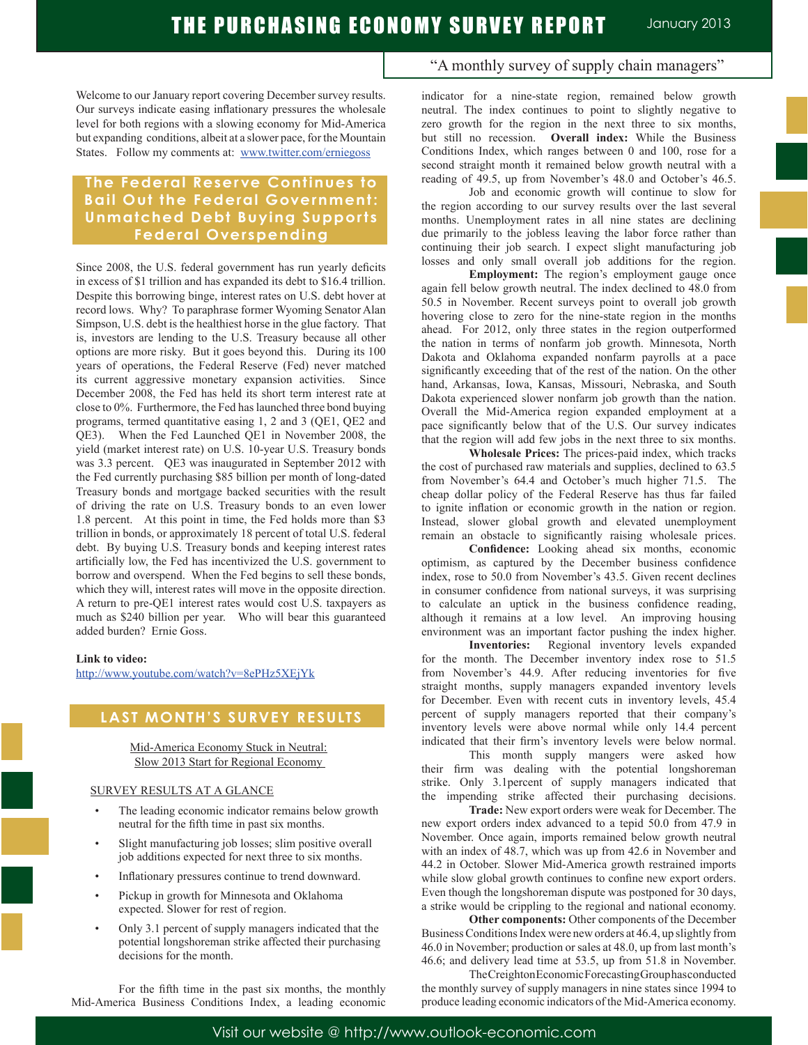Welcome to our January report covering December survey results. Our surveys indicate easing inflationary pressures the wholesale level for both regions with a slowing economy for Mid-America but expanding conditions, albeit at a slower pace, for the Mountain States. Follow my comments at: www.twitter.com/erniegoss

## **The Federal Reser ve Continues to Bail Out the Federal Government: Unmatched Debt Buying Supports Federal Overspending**

Since 2008, the U.S. federal government has run yearly deficits in excess of \$1 trillion and has expanded its debt to \$16.4 trillion. Despite this borrowing binge, interest rates on U.S. debt hover at record lows. Why? To paraphrase former Wyoming Senator Alan Simpson, U.S. debt is the healthiest horse in the glue factory. That is, investors are lending to the U.S. Treasury because all other options are more risky. But it goes beyond this. During its 100 years of operations, the Federal Reserve (Fed) never matched its current aggressive monetary expansion activities. Since December 2008, the Fed has held its short term interest rate at close to 0%. Furthermore, the Fed has launched three bond buying programs, termed quantitative easing 1, 2 and 3 (QE1, QE2 and QE3). When the Fed Launched QE1 in November 2008, the yield (market interest rate) on U.S. 10-year U.S. Treasury bonds was 3.3 percent. QE3 was inaugurated in September 2012 with the Fed currently purchasing \$85 billion per month of long-dated Treasury bonds and mortgage backed securities with the result of driving the rate on U.S. Treasury bonds to an even lower 1.8 percent. At this point in time, the Fed holds more than \$3 trillion in bonds, or approximately 18 percent of total U.S. federal debt. By buying U.S. Treasury bonds and keeping interest rates artificially low, the Fed has incentivized the U.S. government to borrow and overspend. When the Fed begins to sell these bonds, which they will, interest rates will move in the opposite direction. A return to pre-QE1 interest rates would cost U.S. taxpayers as much as \$240 billion per year. Who will bear this guaranteed added burden? Ernie Goss.

#### **Link to video:**

http://www.youtube.com/watch?v=8ePHz5XEjYk

### **LAST MONTH'S SURVEY RESULTS**

Mid-America Economy Stuck in Neutral: Slow 2013 Start for Regional Economy

#### SURVEY RESULTS AT A GLANCE

- The leading economic indicator remains below growth neutral for the fifth time in past six months.
- Slight manufacturing job losses; slim positive overall job additions expected for next three to six months.
- Inflationary pressures continue to trend downward.
- Pickup in growth for Minnesota and Oklahoma expected. Slower for rest of region.
- Only 3.1 percent of supply managers indicated that the potential longshoreman strike affected their purchasing decisions for the month.

 For the fifth time in the past six months, the monthly Mid-America Business Conditions Index, a leading economic

### "A monthly survey of supply chain managers"

indicator for a nine-state region, remained below growth neutral. The index continues to point to slightly negative to zero growth for the region in the next three to six months, but still no recession. **Overall index:** While the Business Conditions Index, which ranges between 0 and 100, rose for a second straight month it remained below growth neutral with a reading of 49.5, up from November's 48.0 and October's 46.5.

 Job and economic growth will continue to slow for the region according to our survey results over the last several months. Unemployment rates in all nine states are declining due primarily to the jobless leaving the labor force rather than continuing their job search. I expect slight manufacturing job losses and only small overall job additions for the region.

**Employment:** The region's employment gauge once again fell below growth neutral. The index declined to 48.0 from 50.5 in November. Recent surveys point to overall job growth hovering close to zero for the nine-state region in the months ahead. For 2012, only three states in the region outperformed the nation in terms of nonfarm job growth. Minnesota, North Dakota and Oklahoma expanded nonfarm payrolls at a pace significantly exceeding that of the rest of the nation. On the other hand, Arkansas, Iowa, Kansas, Missouri, Nebraska, and South Dakota experienced slower nonfarm job growth than the nation. Overall the Mid-America region expanded employment at a pace significantly below that of the U.S. Our survey indicates that the region will add few jobs in the next three to six months.

**Wholesale Prices:** The prices-paid index, which tracks the cost of purchased raw materials and supplies, declined to 63.5 from November's 64.4 and October's much higher 71.5. The cheap dollar policy of the Federal Reserve has thus far failed to ignite inflation or economic growth in the nation or region. Instead, slower global growth and elevated unemployment remain an obstacle to significantly raising wholesale prices.

**Confidence:** Looking ahead six months, economic optimism, as captured by the December business confidence index, rose to 50.0 from November's 43.5. Given recent declines in consumer confidence from national surveys, it was surprising to calculate an uptick in the business confidence reading, although it remains at a low level. An improving housing environment was an important factor pushing the index higher.

**Inventories:** Regional inventory levels expanded for the month. The December inventory index rose to 51.5 from November's 44.9. After reducing inventories for five straight months, supply managers expanded inventory levels for December. Even with recent cuts in inventory levels, 45.4 percent of supply managers reported that their company's inventory levels were above normal while only 14.4 percent indicated that their firm's inventory levels were below normal.

 This month supply mangers were asked how their firm was dealing with the potential longshoreman strike. Only 3.1percent of supply managers indicated that the impending strike affected their purchasing decisions.

**Trade:** New export orders were weak for December. The new export orders index advanced to a tepid 50.0 from 47.9 in November. Once again, imports remained below growth neutral with an index of 48.7, which was up from 42.6 in November and 44.2 in October. Slower Mid-America growth restrained imports while slow global growth continues to confine new export orders. Even though the longshoreman dispute was postponed for 30 days, a strike would be crippling to the regional and national economy.

**Other components:** Other components of the December Business Conditions Index were new orders at 46.4, up slightly from 46.0 in November; production or sales at 48.0, up from last month's 46.6; and delivery lead time at 53.5, up from 51.8 in November.

 The Creighton Economic Forecasting Group has conducted the monthly survey of supply managers in nine states since 1994 to produce leading economic indicators of the Mid-America economy.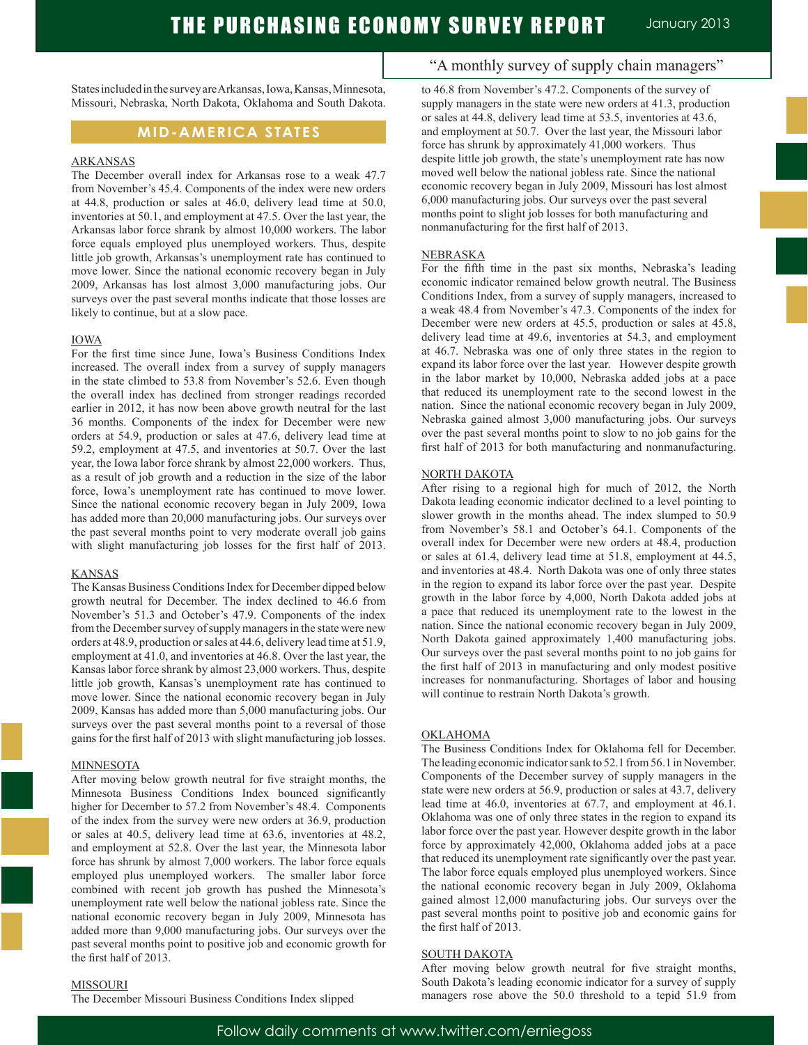States included in the survey are Arkansas, Iowa, Kansas, Minnesota, Missouri, Nebraska, North Dakota, Oklahoma and South Dakota.

### **MID-AMERICA STATES**

#### ARKANSAS

The December overall index for Arkansas rose to a weak 47.7 from November's 45.4. Components of the index were new orders at 44.8, production or sales at 46.0, delivery lead time at 50.0, inventories at 50.1, and employment at 47.5. Over the last year, the Arkansas labor force shrank by almost 10,000 workers. The labor force equals employed plus unemployed workers. Thus, despite little job growth, Arkansas's unemployment rate has continued to move lower. Since the national economic recovery began in July 2009, Arkansas has lost almost 3,000 manufacturing jobs. Our surveys over the past several months indicate that those losses are likely to continue, but at a slow pace.

#### IOWA

For the first time since June, Iowa's Business Conditions Index increased. The overall index from a survey of supply managers in the state climbed to 53.8 from November's 52.6. Even though the overall index has declined from stronger readings recorded earlier in 2012, it has now been above growth neutral for the last 36 months. Components of the index for December were new orders at 54.9, production or sales at 47.6, delivery lead time at 59.2, employment at 47.5, and inventories at 50.7. Over the last year, the Iowa labor force shrank by almost 22,000 workers. Thus, as a result of job growth and a reduction in the size of the labor force, Iowa's unemployment rate has continued to move lower. Since the national economic recovery began in July 2009, Iowa has added more than 20,000 manufacturing jobs. Our surveys over the past several months point to very moderate overall job gains with slight manufacturing job losses for the first half of 2013.

#### KANSAS

The Kansas Business Conditions Index for December dipped below growth neutral for December. The index declined to 46.6 from November's 51.3 and October's 47.9. Components of the index from the December survey of supply managers in the state were new orders at 48.9, production or sales at 44.6, delivery lead time at 51.9, employment at 41.0, and inventories at 46.8. Over the last year, the Kansas labor force shrank by almost 23,000 workers. Thus, despite little job growth, Kansas's unemployment rate has continued to move lower. Since the national economic recovery began in July 2009, Kansas has added more than 5,000 manufacturing jobs. Our surveys over the past several months point to a reversal of those gains for the first half of 2013 with slight manufacturing job losses.

#### MINNESOTA

After moving below growth neutral for five straight months, the Minnesota Business Conditions Index bounced significantly higher for December to 57.2 from November's 48.4. Components of the index from the survey were new orders at 36.9, production or sales at 40.5, delivery lead time at 63.6, inventories at 48.2, and employment at 52.8. Over the last year, the Minnesota labor force has shrunk by almost 7,000 workers. The labor force equals employed plus unemployed workers. The smaller labor force combined with recent job growth has pushed the Minnesota's unemployment rate well below the national jobless rate. Since the national economic recovery began in July 2009, Minnesota has added more than 9,000 manufacturing jobs. Our surveys over the past several months point to positive job and economic growth for the first half of 2013.

#### MISSOURI

The December Missouri Business Conditions Index slipped

### "A monthly survey of supply chain managers"

to 46.8 from November's 47.2. Components of the survey of supply managers in the state were new orders at 41.3, production or sales at 44.8, delivery lead time at 53.5, inventories at 43.6, and employment at 50.7. Over the last year, the Missouri labor force has shrunk by approximately 41,000 workers. Thus despite little job growth, the state's unemployment rate has now moved well below the national jobless rate. Since the national economic recovery began in July 2009, Missouri has lost almost 6,000 manufacturing jobs. Our surveys over the past several months point to slight job losses for both manufacturing and nonmanufacturing for the first half of 2013.

#### NEBRASKA

For the fifth time in the past six months, Nebraska's leading economic indicator remained below growth neutral. The Business Conditions Index, from a survey of supply managers, increased to a weak 48.4 from November's 47.3. Components of the index for December were new orders at 45.5, production or sales at 45.8, delivery lead time at 49.6, inventories at 54.3, and employment at 46.7. Nebraska was one of only three states in the region to expand its labor force over the last year. However despite growth in the labor market by 10,000, Nebraska added jobs at a pace that reduced its unemployment rate to the second lowest in the nation. Since the national economic recovery began in July 2009, Nebraska gained almost 3,000 manufacturing jobs. Our surveys over the past several months point to slow to no job gains for the first half of 2013 for both manufacturing and nonmanufacturing.

#### NORTH DAKOTA

After rising to a regional high for much of 2012, the North Dakota leading economic indicator declined to a level pointing to slower growth in the months ahead. The index slumped to 50.9 from November's 58.1 and October's 64.1. Components of the overall index for December were new orders at 48.4, production or sales at 61.4, delivery lead time at 51.8, employment at 44.5, and inventories at 48.4. North Dakota was one of only three states in the region to expand its labor force over the past year. Despite growth in the labor force by 4,000, North Dakota added jobs at a pace that reduced its unemployment rate to the lowest in the nation. Since the national economic recovery began in July 2009, North Dakota gained approximately 1,400 manufacturing jobs. Our surveys over the past several months point to no job gains for the first half of 2013 in manufacturing and only modest positive increases for nonmanufacturing. Shortages of labor and housing will continue to restrain North Dakota's growth.

#### OKLAHOMA

The Business Conditions Index for Oklahoma fell for December. The leading economic indicator sank to 52.1 from 56.1 in November. Components of the December survey of supply managers in the state were new orders at 56.9, production or sales at 43.7, delivery lead time at 46.0, inventories at 67.7, and employment at 46.1. Oklahoma was one of only three states in the region to expand its labor force over the past year. However despite growth in the labor force by approximately 42,000, Oklahoma added jobs at a pace that reduced its unemployment rate significantly over the past year. The labor force equals employed plus unemployed workers. Since the national economic recovery began in July 2009, Oklahoma gained almost 12,000 manufacturing jobs. Our surveys over the past several months point to positive job and economic gains for the first half of 2013.

#### SOUTH DAKOTA

After moving below growth neutral for five straight months, South Dakota's leading economic indicator for a survey of supply managers rose above the 50.0 threshold to a tepid 51.9 from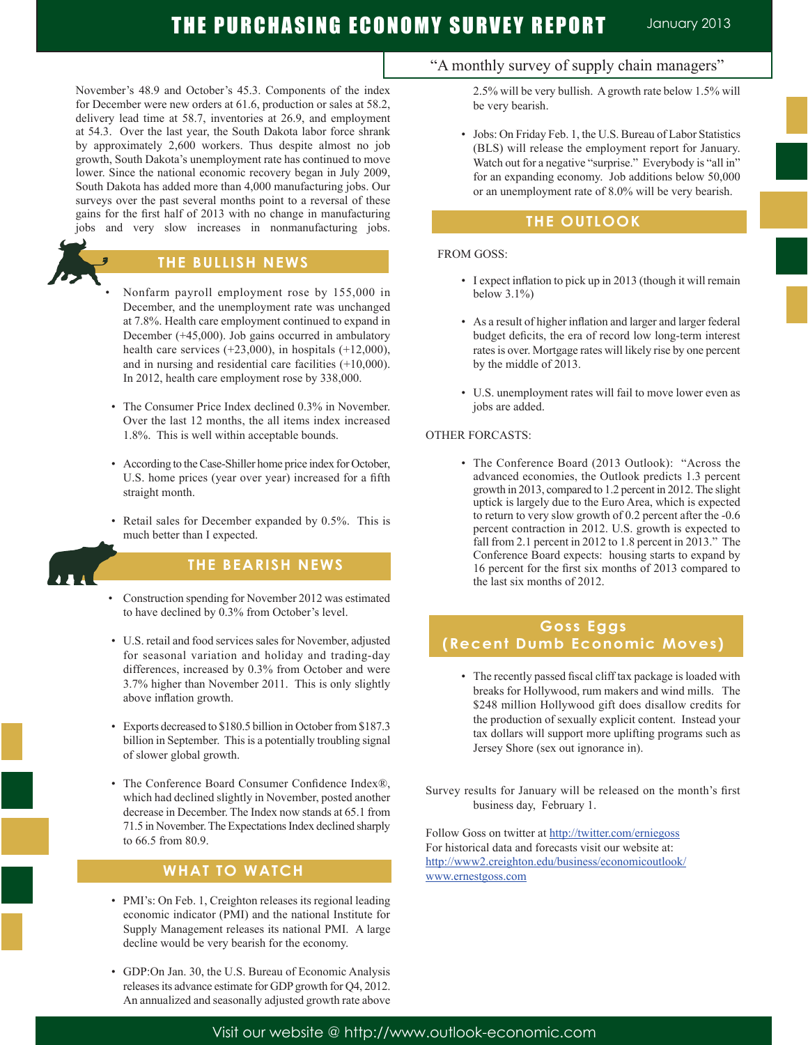November's 48.9 and October's 45.3. Components of the index for December were new orders at 61.6, production or sales at 58.2, delivery lead time at 58.7, inventories at 26.9, and employment at 54.3. Over the last year, the South Dakota labor force shrank by approximately 2,600 workers. Thus despite almost no job growth, South Dakota's unemployment rate has continued to move lower. Since the national economic recovery began in July 2009, South Dakota has added more than 4,000 manufacturing jobs. Our surveys over the past several months point to a reversal of these gains for the first half of 2013 with no change in manufacturing jobs and very slow increases in nonmanufacturing jobs.



## **THE BULLISH NEWS**

- Nonfarm payroll employment rose by 155,000 in December, and the unemployment rate was unchanged at 7.8%. Health care employment continued to expand in December (+45,000). Job gains occurred in ambulatory health care services  $(+23,000)$ , in hospitals  $(+12,000)$ , and in nursing and residential care facilities (+10,000). In 2012, health care employment rose by 338,000.
- The Consumer Price Index declined 0.3% in November. Over the last 12 months, the all items index increased 1.8%. This is well within acceptable bounds.
- According to the Case-Shiller home price index for October, U.S. home prices (year over year) increased for a fifth straight month.
- Retail sales for December expanded by 0.5%. This is much better than I expected.



ł

j

## **THE BEARISH NEWS**

- Construction spending for November 2012 was estimated to have declined by 0.3% from October's level.
- U.S. retail and food services sales for November, adjusted for seasonal variation and holiday and trading-day differences, increased by 0.3% from October and were 3.7% higher than November 2011. This is only slightly above inflation growth.
- Exports decreased to \$180.5 billion in October from \$187.3 billion in September. This is a potentially troubling signal of slower global growth.
- The Conference Board Consumer Confidence Index®, which had declined slightly in November, posted another decrease in December. The Index now stands at 65.1 from 71.5 in November. The Expectations Index declined sharply to 66.5 from 80.9.

## **WHAT TO WATCH**

- PMI's: On Feb. 1, Creighton releases its regional leading economic indicator (PMI) and the national Institute for Supply Management releases its national PMI. A large decline would be very bearish for the economy.
- GDP:On Jan. 30, the U.S. Bureau of Economic Analysis releases its advance estimate for GDP growth for Q4, 2012. An annualized and seasonally adjusted growth rate above

## "A monthly survey of supply chain managers"

2.5% will be very bullish. A growth rate below 1.5% will be very bearish.

 • Jobs: On Friday Feb. 1, the U.S. Bureau of Labor Statistics (BLS) will release the employment report for January. Watch out for a negative "surprise." Everybody is "all in" for an expanding economy. Job additions below 50,000 or an unemployment rate of 8.0% will be very bearish.

## **THE OUTLOOK**

### FROM GOSS:

- I expect inflation to pick up in 2013 (though it will remain below 3.1%)
- As a result of higher inflation and larger and larger federal budget deficits, the era of record low long-term interest rates is over. Mortgage rates will likely rise by one percent by the middle of 2013.
- U.S. unemployment rates will fail to move lower even as jobs are added.

### OTHER FORCASTS:

 • The Conference Board (2013 Outlook): "Across the advanced economies, the Outlook predicts 1.3 percent growth in 2013, compared to 1.2 percent in 2012. The slight uptick is largely due to the Euro Area, which is expected to return to very slow growth of 0.2 percent after the -0.6 percent contraction in 2012. U.S. growth is expected to fall from 2.1 percent in 2012 to 1.8 percent in 2013." The Conference Board expects: housing starts to expand by 16 percent for the first six months of 2013 compared to the last six months of 2012.

## **Goss Eggs (Recent Dumb Economic Moves)**

 • The recently passed fiscal cliff tax package is loaded with breaks for Hollywood, rum makers and wind mills. The \$248 million Hollywood gift does disallow credits for the production of sexually explicit content. Instead your tax dollars will support more uplifting programs such as Jersey Shore (sex out ignorance in).

Survey results for January will be released on the month's first business day, February 1.

Follow Goss on twitter at http://twitter.com/erniegoss For historical data and forecasts visit our website at: http://www2.creighton.edu/business/economicoutlook/ www.ernestgoss.com